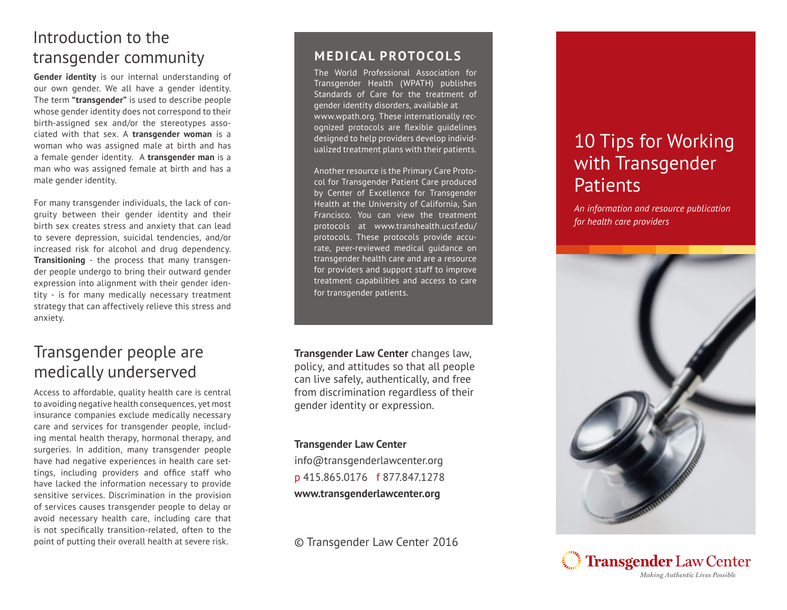# Introduction to the transgender community

**Gender identity** is our internal understanding of our own gender. We all have a gender identity. The term **"transgender"** is used to describe people whose gender identity does not correspond to their birth-assigned sex and/or the stereotypes asso ciated with that sex. A **transgender woman** is a woman who was assigned male at birth and has a female gender identity. A **transgender man** is a man who was assigned female at birth and has a male gender identity.

For many transgender individuals, the lack of con gruity between their gender identity and their birth sex creates stress and anxiety that can lead to severe depression, suicidal tendencies, and/or increased risk for alcohol and drug dependency. **Transitioning** - the process that many transgen der people undergo to bring their outward gender expression into alignment with their gender iden tity - is for many medically necessary treatment strategy that can affectively relieve this stress and anxiety.

## Transgender people are medically underserved

Access to affordable, quality health care is central to avoiding negative health consequences, yet most insurance companies exclude medically necessary care and services for transgender people, includ ing mental health therapy, hormonal therapy, and surgeries. In addition, many transgender people have had negative experiences in health care set tings, including providers and office staff who have lacked the information necessary to provide sensitive services. Discrimination in the provision of services causes transgender people to delay or avoid necessary health care, including care that is not specifically transition-related, often to the point of putting their overall health at severe risk.

### **MEDICAL PROTOCOLS**

The World Professional Association for Transgender Health (WPATH) publishes Standards of Care for the treatment of gender identity disorders, available at www.wpath.org. These internationally rec ognized protocols are flexible guidelines designed to help providers develop individ ualized treatment plans with their patients.

Another resource is the Primary Care Proto col for Transgender Patient Care produced by Center of Excellence for Transgender Health at the University of California, San Francisco. You can view the treatment protocols at www.transhealth.ucsf.edu/ protocols. These protocols provide accu rate, peer-reviewed medical guidance on transgender health care and are a resource for providers and support staff to improve treatment capabilities and access to care for transgender patients.

**Transgender Law Center** changes law, policy, and attitudes so that all people can live safely, authentically, and free from discrimination regardless of their gender identity or expression.

#### **Transgender Law Center**

info@transgenderlawcenter.org p 415.865.0176 f 877.847.1278 **www.transgenderlawcenter.org**

© Transgender Law Center 2016

# 10 Tips for Working with Transgender **Patients**

*An information and resource publication for health care providers*